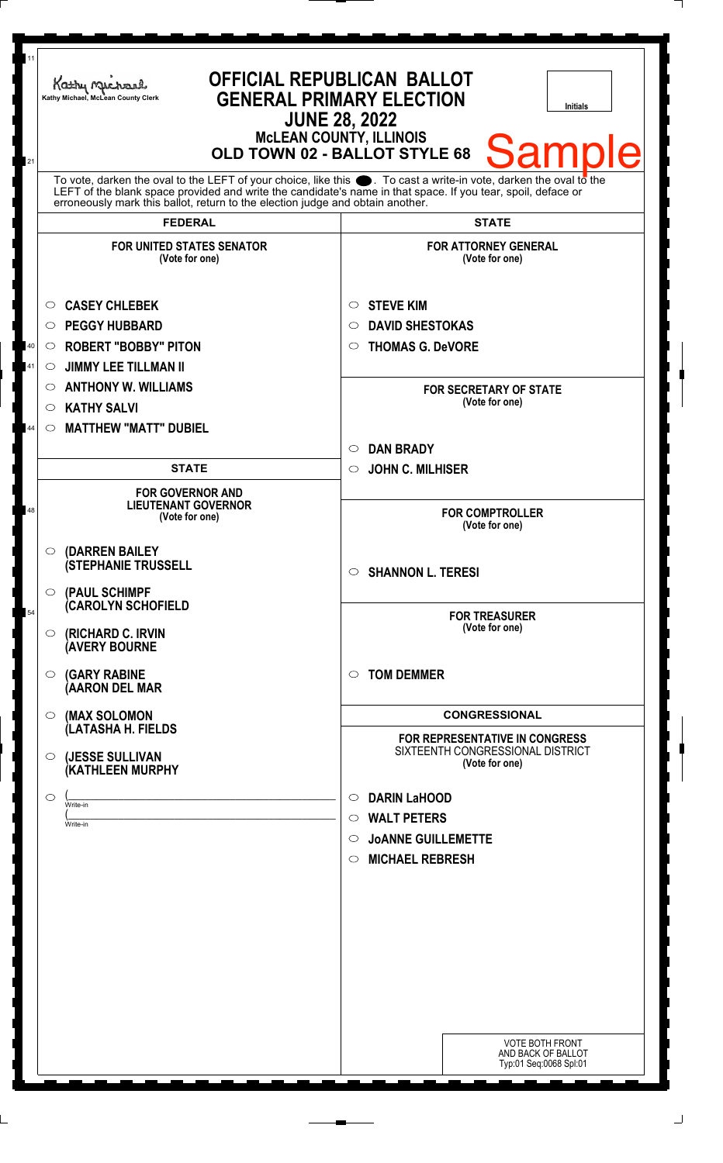| 11<br>21 | Kathy Michael<br>Kathy Michael, McLean County Clerk                                                                                                                                                                                                                                                                          | <b>OFFICIAL REPUBLICAN BALLOT</b><br><b>GENERAL PRIMARY ELECTION</b><br><b>Initials</b><br><b>JUNE 28, 2022</b><br><b>McLEAN COUNTY, ILLINOIS</b><br><b>Sample</b><br>OLD TOWN 02 - BALLOT STYLE 68 |
|----------|------------------------------------------------------------------------------------------------------------------------------------------------------------------------------------------------------------------------------------------------------------------------------------------------------------------------------|-----------------------------------------------------------------------------------------------------------------------------------------------------------------------------------------------------|
|          | To vote, darken the oval to the LEFT of your choice, like this $\bullet$ . To cast a write-in vote, darken the oval to the<br>LEFT of the blank space provided and write the candidate's name in that space. If you tear, spoil, deface or<br>erroneously mark this ballot, return to the election judge and obtain another. |                                                                                                                                                                                                     |
|          | <b>FEDERAL</b>                                                                                                                                                                                                                                                                                                               | <b>STATE</b>                                                                                                                                                                                        |
|          | <b>FOR UNITED STATES SENATOR</b><br>(Vote for one)                                                                                                                                                                                                                                                                           | <b>FOR ATTORNEY GENERAL</b><br>(Vote for one)                                                                                                                                                       |
| 40<br>41 | <b>CASEY CHLEBEK</b><br>$\circ$<br><b>PEGGY HUBBARD</b><br>O<br><b>ROBERT "BOBBY" PITON</b><br>$\circ$<br><b>JIMMY LEE TILLMAN II</b><br>$\circ$                                                                                                                                                                             | <b>STEVE KIM</b><br>O<br><b>DAVID SHESTOKAS</b><br>O<br><b>THOMAS G. DeVORE</b><br>O                                                                                                                |
| 44       | <b>ANTHONY W. WILLIAMS</b><br>$\circ$<br><b>KATHY SALVI</b><br>$\circ$<br><b>MATTHEW "MATT" DUBIEL</b><br>$\circ$                                                                                                                                                                                                            | <b>FOR SECRETARY OF STATE</b><br>(Vote for one)                                                                                                                                                     |
|          | <b>STATE</b>                                                                                                                                                                                                                                                                                                                 | <b>DAN BRADY</b><br>$\circ$<br><b>JOHN C. MILHISER</b><br>$\circ$                                                                                                                                   |
| 48       | <b>FOR GOVERNOR AND</b><br><b>LIEUTENANT GOVERNOR</b><br>(Vote for one)                                                                                                                                                                                                                                                      | <b>FOR COMPTROLLER</b><br>(Vote for one)                                                                                                                                                            |
|          | $\circ$ (DARREN BAILEY<br><b>(STEPHANIE TRUSSELL</b><br>$\circ$ (PAUL SCHIMPF                                                                                                                                                                                                                                                | <b>SHANNON L. TERESI</b><br>$\circ$                                                                                                                                                                 |
| 54       | (CAROLYN SCHOFIELD<br>$\circ$ (RICHARD C. IRVIN<br><b>AVERY BOURNE</b>                                                                                                                                                                                                                                                       | <b>FOR TREASURER</b><br>(Vote for one)                                                                                                                                                              |
|          | $\circ$ (GARY RABINE<br>(AARON DEL MAR                                                                                                                                                                                                                                                                                       | <b>TOM DEMMER</b><br>◯                                                                                                                                                                              |
|          | (MAX SOLOMON<br>$\circ$<br>(LATASHA H. FIELDS                                                                                                                                                                                                                                                                                | <b>CONGRESSIONAL</b>                                                                                                                                                                                |
|          | (JESSE SULLIVAN<br>$\circ$<br>(KATHLEEN MURPHY                                                                                                                                                                                                                                                                               | <b>FOR REPRESENTATIVE IN CONGRESS</b><br>SIXTEENTH CONGRESSIONAL DISTRICT<br>(Vote for one)                                                                                                         |
|          | $\circ$<br>Write-in<br>Write-in                                                                                                                                                                                                                                                                                              | <b>DARIN LaHOOD</b><br>$\circ$<br><b>WALT PETERS</b><br>$\circ$<br><b>JOANNE GUILLEMETTE</b><br>$\circ$<br><b>MICHAEL REBRESH</b><br>$\circ$                                                        |
|          |                                                                                                                                                                                                                                                                                                                              |                                                                                                                                                                                                     |
|          |                                                                                                                                                                                                                                                                                                                              | VOTE BOTH FRONT<br>AND BACK OF BALLOT<br>Typ:01 Seq:0068 Spl:01                                                                                                                                     |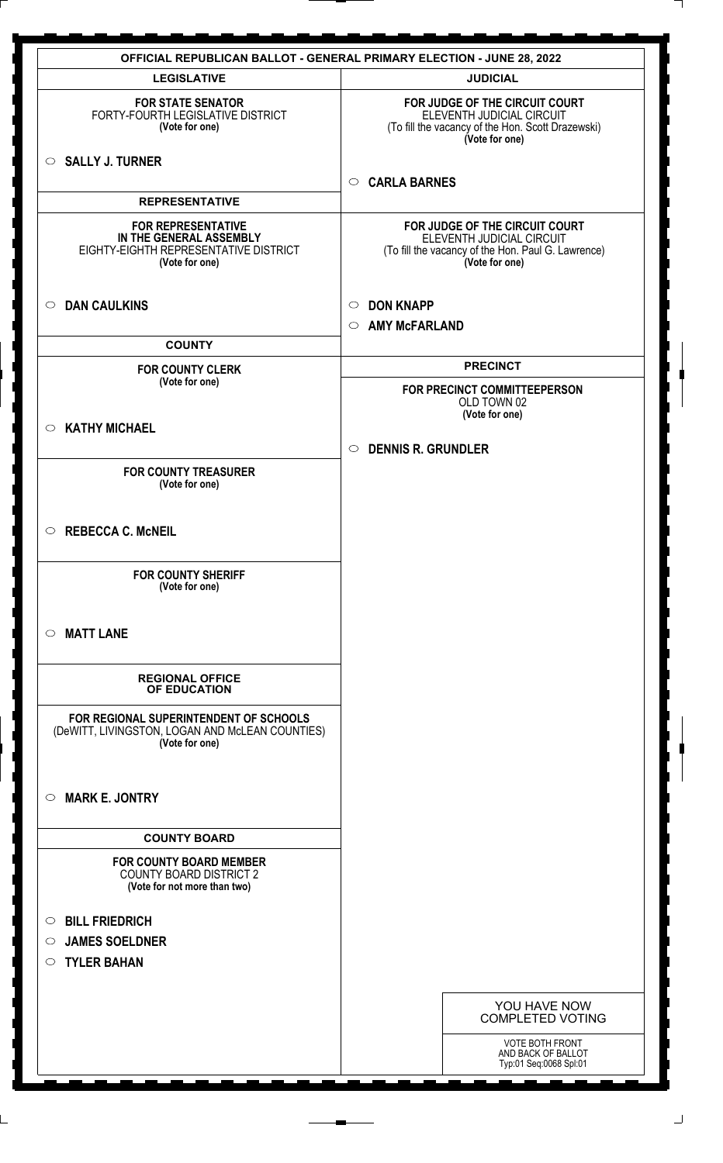| <b>LEGISLATIVE</b><br><b>FOR STATE SENATOR</b><br>FORTY-FOURTH LEGISLATIVE DISTRICT<br>(Vote for one)<br>$\circ$ SALLY J. TURNER<br>$\circ$<br><b>REPRESENTATIVE</b><br><b>FOR REPRESENTATIVE</b><br>IN THE GENERAL ASSEMBLY<br>EIGHTY-EIGHTH REPRESENTATIVE DISTRICT<br>(Vote for one)<br><b>DAN CAULKINS</b><br>$\circ$<br>$\circ$<br>$\circ$<br><b>COUNTY</b><br><b>FOR COUNTY CLERK</b><br>(Vote for one)<br><b>KATHY MICHAEL</b><br>$\circ$<br>$\circ$<br><b>FOR COUNTY TREASURER</b><br>(Vote for one)<br><b>REBECCA C. McNEIL</b><br>$\circ$<br><b>FOR COUNTY SHERIFF</b><br>(Vote for one) | <b>JUDICIAL</b><br>FOR JUDGE OF THE CIRCUIT COURT<br>ELEVENTH JUDICIAL CIRCUIT<br>(To fill the vacancy of the Hon. Scott Drazewski)<br>(Vote for one)<br><b>CARLA BARNES</b><br>FOR JUDGE OF THE CIRCUIT COURT<br>ELEVENTH JUDICIAL CIRCUIT<br>(To fill the vacancy of the Hon. Paul G. Lawrence)<br>(Vote for one)<br><b>DON KNAPP</b><br><b>AMY McFARLAND</b><br><b>PRECINCT</b><br>FOR PRECINCT COMMITTEEPERSON<br>OLD TOWN 02<br>(Vote for one)<br><b>DENNIS R. GRUNDLER</b> |
|----------------------------------------------------------------------------------------------------------------------------------------------------------------------------------------------------------------------------------------------------------------------------------------------------------------------------------------------------------------------------------------------------------------------------------------------------------------------------------------------------------------------------------------------------------------------------------------------------|----------------------------------------------------------------------------------------------------------------------------------------------------------------------------------------------------------------------------------------------------------------------------------------------------------------------------------------------------------------------------------------------------------------------------------------------------------------------------------|
|                                                                                                                                                                                                                                                                                                                                                                                                                                                                                                                                                                                                    |                                                                                                                                                                                                                                                                                                                                                                                                                                                                                  |
|                                                                                                                                                                                                                                                                                                                                                                                                                                                                                                                                                                                                    |                                                                                                                                                                                                                                                                                                                                                                                                                                                                                  |
|                                                                                                                                                                                                                                                                                                                                                                                                                                                                                                                                                                                                    |                                                                                                                                                                                                                                                                                                                                                                                                                                                                                  |
|                                                                                                                                                                                                                                                                                                                                                                                                                                                                                                                                                                                                    |                                                                                                                                                                                                                                                                                                                                                                                                                                                                                  |
|                                                                                                                                                                                                                                                                                                                                                                                                                                                                                                                                                                                                    |                                                                                                                                                                                                                                                                                                                                                                                                                                                                                  |
|                                                                                                                                                                                                                                                                                                                                                                                                                                                                                                                                                                                                    |                                                                                                                                                                                                                                                                                                                                                                                                                                                                                  |
|                                                                                                                                                                                                                                                                                                                                                                                                                                                                                                                                                                                                    |                                                                                                                                                                                                                                                                                                                                                                                                                                                                                  |
|                                                                                                                                                                                                                                                                                                                                                                                                                                                                                                                                                                                                    |                                                                                                                                                                                                                                                                                                                                                                                                                                                                                  |
|                                                                                                                                                                                                                                                                                                                                                                                                                                                                                                                                                                                                    |                                                                                                                                                                                                                                                                                                                                                                                                                                                                                  |
|                                                                                                                                                                                                                                                                                                                                                                                                                                                                                                                                                                                                    |                                                                                                                                                                                                                                                                                                                                                                                                                                                                                  |
|                                                                                                                                                                                                                                                                                                                                                                                                                                                                                                                                                                                                    |                                                                                                                                                                                                                                                                                                                                                                                                                                                                                  |
|                                                                                                                                                                                                                                                                                                                                                                                                                                                                                                                                                                                                    |                                                                                                                                                                                                                                                                                                                                                                                                                                                                                  |
|                                                                                                                                                                                                                                                                                                                                                                                                                                                                                                                                                                                                    |                                                                                                                                                                                                                                                                                                                                                                                                                                                                                  |
|                                                                                                                                                                                                                                                                                                                                                                                                                                                                                                                                                                                                    |                                                                                                                                                                                                                                                                                                                                                                                                                                                                                  |
|                                                                                                                                                                                                                                                                                                                                                                                                                                                                                                                                                                                                    |                                                                                                                                                                                                                                                                                                                                                                                                                                                                                  |
| <b>MATT LANE</b><br>$\circ$                                                                                                                                                                                                                                                                                                                                                                                                                                                                                                                                                                        |                                                                                                                                                                                                                                                                                                                                                                                                                                                                                  |
| <b>REGIONAL OFFICE</b><br>OF EDUCATION                                                                                                                                                                                                                                                                                                                                                                                                                                                                                                                                                             |                                                                                                                                                                                                                                                                                                                                                                                                                                                                                  |
| FOR REGIONAL SUPERINTENDENT OF SCHOOLS<br>(DeWITT, LIVINGSTON, LOGAN AND McLEAN COUNTIES)<br>(Vote for one)                                                                                                                                                                                                                                                                                                                                                                                                                                                                                        |                                                                                                                                                                                                                                                                                                                                                                                                                                                                                  |
| <b>MARK E. JONTRY</b><br>$\circ$                                                                                                                                                                                                                                                                                                                                                                                                                                                                                                                                                                   |                                                                                                                                                                                                                                                                                                                                                                                                                                                                                  |
| <b>COUNTY BOARD</b>                                                                                                                                                                                                                                                                                                                                                                                                                                                                                                                                                                                |                                                                                                                                                                                                                                                                                                                                                                                                                                                                                  |
| <b>FOR COUNTY BOARD MEMBER</b><br><b>COUNTY BOARD DISTRICT 2</b><br>(Vote for not more than two)                                                                                                                                                                                                                                                                                                                                                                                                                                                                                                   |                                                                                                                                                                                                                                                                                                                                                                                                                                                                                  |
| <b>BILL FRIEDRICH</b><br>$\circ$                                                                                                                                                                                                                                                                                                                                                                                                                                                                                                                                                                   |                                                                                                                                                                                                                                                                                                                                                                                                                                                                                  |
| <b>JAMES SOELDNER</b><br>$\circ$                                                                                                                                                                                                                                                                                                                                                                                                                                                                                                                                                                   |                                                                                                                                                                                                                                                                                                                                                                                                                                                                                  |
| <b>TYLER BAHAN</b><br>$\circ$                                                                                                                                                                                                                                                                                                                                                                                                                                                                                                                                                                      |                                                                                                                                                                                                                                                                                                                                                                                                                                                                                  |
|                                                                                                                                                                                                                                                                                                                                                                                                                                                                                                                                                                                                    |                                                                                                                                                                                                                                                                                                                                                                                                                                                                                  |
|                                                                                                                                                                                                                                                                                                                                                                                                                                                                                                                                                                                                    | YOU HAVE NOW<br><b>COMPLETED VOTING</b>                                                                                                                                                                                                                                                                                                                                                                                                                                          |
|                                                                                                                                                                                                                                                                                                                                                                                                                                                                                                                                                                                                    |                                                                                                                                                                                                                                                                                                                                                                                                                                                                                  |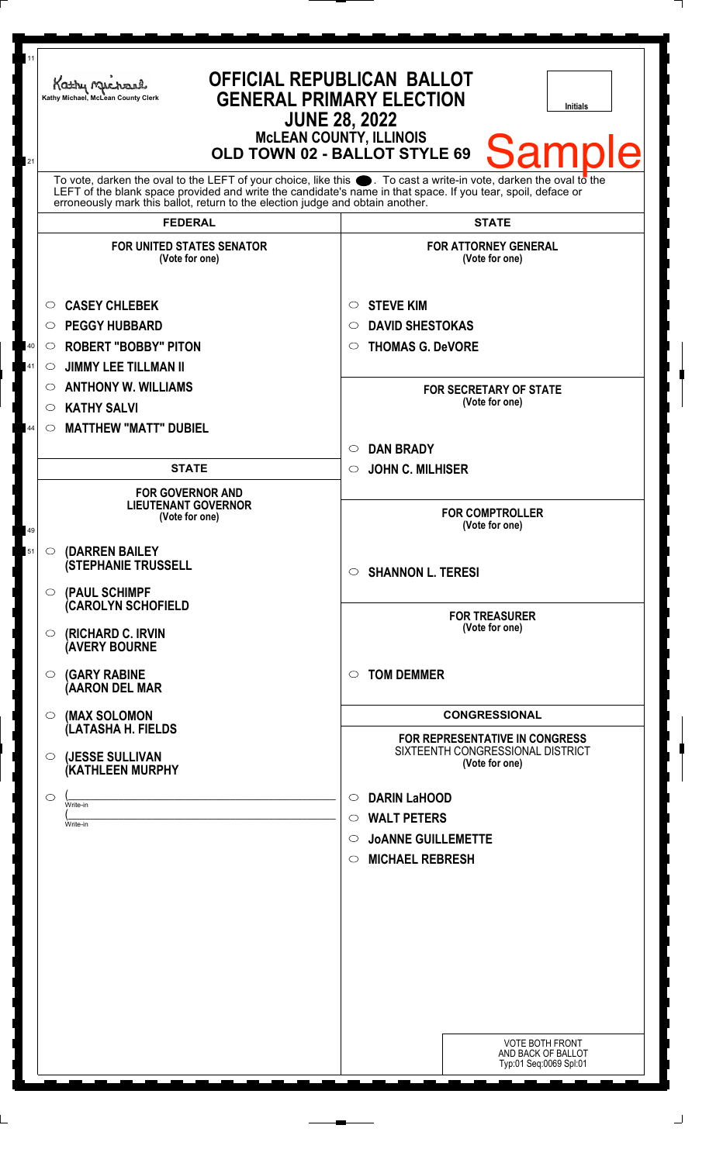| 11<br>21 | Kathy Michael<br>Kathy Michael, McLean County Clerk                                                                                                                                                                                                                                                                | <b>OFFICIAL REPUBLICAN BALLOT</b><br><b>GENERAL PRIMARY ELECTION</b><br><b>Initials</b><br><b>JUNE 28, 2022</b><br><b>McLEAN COUNTY, ILLINOIS</b><br><b>Sample</b><br>OLD TOWN 02 - BALLOT STYLE 69 |
|----------|--------------------------------------------------------------------------------------------------------------------------------------------------------------------------------------------------------------------------------------------------------------------------------------------------------------------|-----------------------------------------------------------------------------------------------------------------------------------------------------------------------------------------------------|
|          | To vote, darken the oval to the LEFT of your choice, like this . To cast a write-in vote, darken the oval to the<br>LEFT of the blank space provided and write the candidate's name in that space. If you tear, spoil, deface or<br>erroneously mark this ballot, return to the election judge and obtain another. |                                                                                                                                                                                                     |
|          | <b>FEDERAL</b>                                                                                                                                                                                                                                                                                                     | <b>STATE</b>                                                                                                                                                                                        |
|          | <b>FOR UNITED STATES SENATOR</b><br>(Vote for one)                                                                                                                                                                                                                                                                 | <b>FOR ATTORNEY GENERAL</b><br>(Vote for one)                                                                                                                                                       |
| 40<br>41 | <b>CASEY CHLEBEK</b><br>O<br><b>PEGGY HUBBARD</b><br>◯<br><b>ROBERT "BOBBY" PITON</b><br>$\circ$<br><b>JIMMY LEE TILLMAN II</b><br>$\circ$                                                                                                                                                                         | <b>STEVE KIM</b><br>$\circ$<br><b>DAVID SHESTOKAS</b><br>O<br><b>THOMAS G. DeVORE</b><br>$\circ$                                                                                                    |
| 44       | <b>ANTHONY W. WILLIAMS</b><br>O<br><b>KATHY SALVI</b><br>$\circ$<br><b>MATTHEW "MATT" DUBIEL</b><br>$\circ$                                                                                                                                                                                                        | <b>FOR SECRETARY OF STATE</b><br>(Vote for one)                                                                                                                                                     |
|          |                                                                                                                                                                                                                                                                                                                    | <b>DAN BRADY</b><br>$\circ$                                                                                                                                                                         |
|          | <b>STATE</b>                                                                                                                                                                                                                                                                                                       | <b>JOHN C. MILHISER</b><br>$\circ$                                                                                                                                                                  |
| 49<br>51 | <b>FOR GOVERNOR AND</b><br><b>LIEUTENANT GOVERNOR</b><br>(Vote for one)<br>(DARREN BAILEY<br>$\circ$                                                                                                                                                                                                               | <b>FOR COMPTROLLER</b><br>(Vote for one)                                                                                                                                                            |
|          | <b>(STEPHANIE TRUSSELL</b><br>(PAUL SCHIMPF<br>$\circ$                                                                                                                                                                                                                                                             | <b>SHANNON L. TERESI</b><br>$\circ$                                                                                                                                                                 |
|          | (CAROLYN SCHOFIELD<br>(RICHARD C. IRVIN<br>O<br><b>AVERY BOURNE</b>                                                                                                                                                                                                                                                | <b>FOR TREASURER</b><br>(Vote for one)                                                                                                                                                              |
|          | <b>(GARY RABINE</b><br>$\circ$<br>(AARON DEL MAR                                                                                                                                                                                                                                                                   | <b>TOM DEMMER</b><br>$\circ$                                                                                                                                                                        |
|          | (MAX SOLOMON<br>$\circ$<br>(LATASHA H. FIELDS                                                                                                                                                                                                                                                                      | <b>CONGRESSIONAL</b><br>FOR REPRESENTATIVE IN CONGRESS                                                                                                                                              |
|          | (JESSE SULLIVAN<br>$\circ$<br>(KATHLEEN MURPHY                                                                                                                                                                                                                                                                     | SIXTEENTH CONGRESSIONAL DISTRICT<br>(Vote for one)                                                                                                                                                  |
|          | $\circ$<br>Write-in<br>Write-in                                                                                                                                                                                                                                                                                    | <b>DARIN LaHOOD</b><br>$\circ$<br><b>WALT PETERS</b><br>$\circ$<br><b>JOANNE GUILLEMETTE</b><br>$\circ$<br><b>MICHAEL REBRESH</b><br>$\circ$                                                        |
|          |                                                                                                                                                                                                                                                                                                                    |                                                                                                                                                                                                     |
|          |                                                                                                                                                                                                                                                                                                                    | <b>VOTE BOTH FRONT</b><br>AND BACK OF BALLOT<br>Typ:01 Seq:0069 Spl:01                                                                                                                              |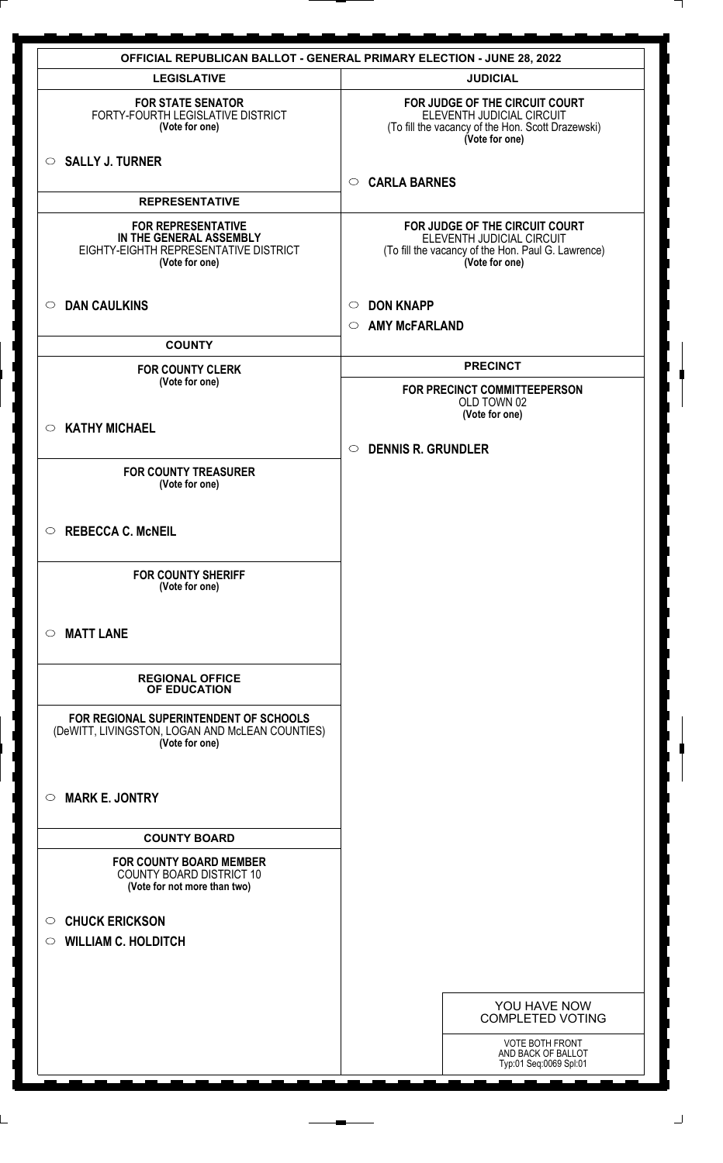|                                                                                                                 | <b>OFFICIAL REPUBLICAN BALLOT - GENERAL PRIMARY ELECTION - JUNE 28, 2022</b>                                                        |
|-----------------------------------------------------------------------------------------------------------------|-------------------------------------------------------------------------------------------------------------------------------------|
| <b>LEGISLATIVE</b>                                                                                              | <b>JUDICIAL</b>                                                                                                                     |
| <b>FOR STATE SENATOR</b><br>FORTY-FOURTH LEGISLATIVE DISTRICT<br>(Vote for one)                                 | FOR JUDGE OF THE CIRCUIT COURT<br>ELEVENTH JUDICIAL CIRCUIT<br>(To fill the vacancy of the Hon. Scott Drazewski)<br>(Vote for one)  |
| $\circ$ SALLY J. TURNER                                                                                         | <b>CARLA BARNES</b><br>$\circ$                                                                                                      |
| <b>REPRESENTATIVE</b>                                                                                           |                                                                                                                                     |
| <b>FOR REPRESENTATIVE</b><br>IN THE GENERAL ASSEMBLY<br>EIGHTY-EIGHTH REPRESENTATIVE DISTRICT<br>(Vote for one) | FOR JUDGE OF THE CIRCUIT COURT<br>ELEVENTH JUDICIAL CIRCUIT<br>(To fill the vacancy of the Hon. Paul G. Lawrence)<br>(Vote for one) |
| <b>DAN CAULKINS</b><br>$\circ$                                                                                  | <b>DON KNAPP</b><br>$\circ$                                                                                                         |
| <b>COUNTY</b>                                                                                                   | <b>AMY McFARLAND</b><br>$\circ$                                                                                                     |
| <b>FOR COUNTY CLERK</b>                                                                                         | <b>PRECINCT</b>                                                                                                                     |
| (Vote for one)                                                                                                  | FOR PRECINCT COMMITTEEPERSON<br>OLD TOWN 02<br>(Vote for one)                                                                       |
| $\circ$ KATHY MICHAEL                                                                                           |                                                                                                                                     |
|                                                                                                                 | <b>DENNIS R. GRUNDLER</b><br>$\circ$                                                                                                |
| <b>FOR COUNTY TREASURER</b><br>(Vote for one)                                                                   |                                                                                                                                     |
| $\circ$ REBECCA C. McNEIL                                                                                       |                                                                                                                                     |
| <b>FOR COUNTY SHERIFF</b><br>(Vote for one)                                                                     |                                                                                                                                     |
| <b>MATT LANE</b><br>$\circ$                                                                                     |                                                                                                                                     |
| <b>REGIONAL OFFICE</b><br>OF EDUCATION                                                                          |                                                                                                                                     |
| FOR REGIONAL SUPERINTENDENT OF SCHOOLS<br>(DeWITT, LIVINGSTON, LOGAN AND McLEAN COUNTIES)<br>(Vote for one)     |                                                                                                                                     |
| <b>MARK E. JONTRY</b><br>$\circ$                                                                                |                                                                                                                                     |
| <b>COUNTY BOARD</b>                                                                                             |                                                                                                                                     |
| <b>FOR COUNTY BOARD MEMBER</b><br><b>COUNTY BOARD DISTRICT 10</b><br>(Vote for not more than two)               |                                                                                                                                     |
| <b>CHUCK ERICKSON</b><br>$\circ$                                                                                |                                                                                                                                     |
| <b>WILLIAM C. HOLDITCH</b><br>$\circ$                                                                           |                                                                                                                                     |
|                                                                                                                 |                                                                                                                                     |
|                                                                                                                 |                                                                                                                                     |
|                                                                                                                 | YOU HAVE NOW<br><b>COMPLETED VOTING</b>                                                                                             |
|                                                                                                                 | <b>VOTE BOTH FRONT</b><br>AND BACK OF BALLOT<br>Typ:01 Seq:0069 Spl:01                                                              |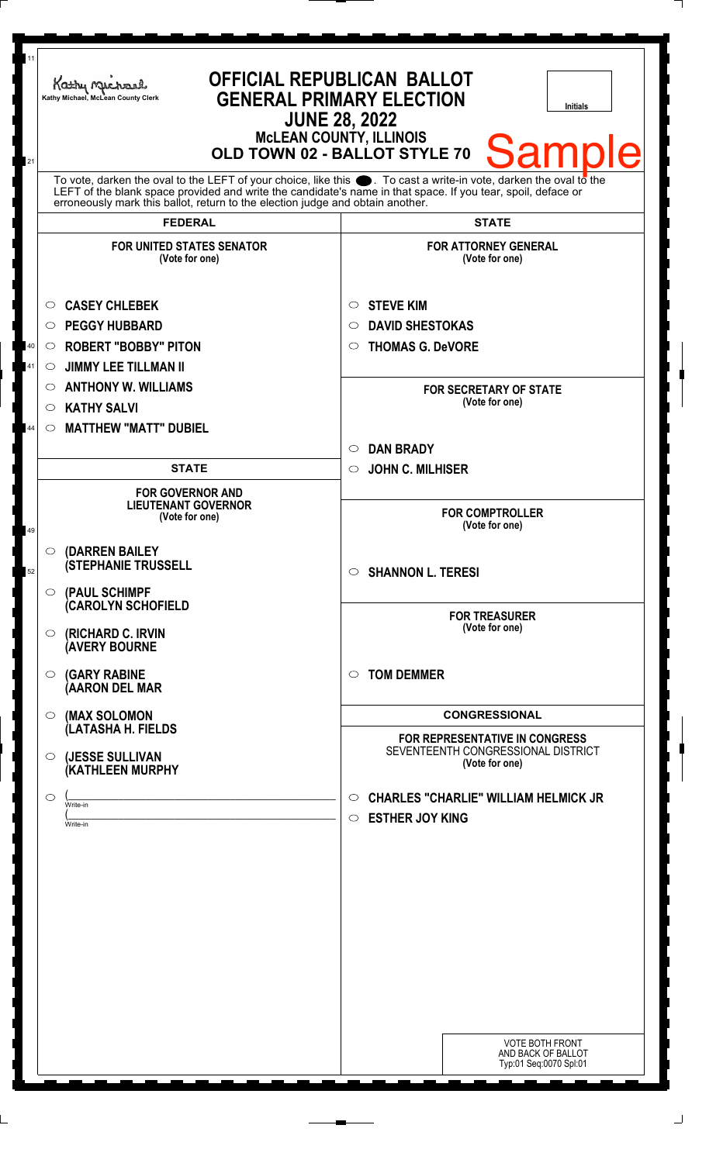| 11       | Kathy Michael<br>Kathy Michael, McLean County Clerk                                                                                                                                                                                        | <b>OFFICIAL REPUBLICAN BALLOT</b><br><b>GENERAL PRIMARY ELECTION</b><br><b>Initials</b><br><b>JUNE 28, 2022</b><br><b>McLEAN COUNTY, ILLINOIS</b><br><b>Samp</b><br>OLD TOWN 02 - BALLOT STYLE 70 |
|----------|--------------------------------------------------------------------------------------------------------------------------------------------------------------------------------------------------------------------------------------------|---------------------------------------------------------------------------------------------------------------------------------------------------------------------------------------------------|
| 21       | To vote, darken the oval to the LEFT of your choice, like this $\bullet$ . To cast a write-in vote, darken the oval to the<br>LEFT of the blank space provided and write the candidate's name in that space. If you tear, spoil, deface or |                                                                                                                                                                                                   |
|          | erroneously mark this ballot, return to the election judge and obtain another.<br><b>FEDERAL</b>                                                                                                                                           | <b>STATE</b>                                                                                                                                                                                      |
|          | <b>FOR UNITED STATES SENATOR</b><br>(Vote for one)                                                                                                                                                                                         | <b>FOR ATTORNEY GENERAL</b><br>(Vote for one)                                                                                                                                                     |
| 40<br>41 | <b>CASEY CHLEBEK</b><br>O<br><b>PEGGY HUBBARD</b><br>◯<br><b>ROBERT "BOBBY" PITON</b><br>$\circ$<br><b>JIMMY LEE TILLMAN II</b><br>$\circ$                                                                                                 | <b>STEVE KIM</b><br>O<br><b>DAVID SHESTOKAS</b><br>◯<br><b>THOMAS G. DeVORE</b><br>O                                                                                                              |
| 44       | <b>ANTHONY W. WILLIAMS</b><br>O<br><b>KATHY SALVI</b><br>$\circ$<br><b>MATTHEW "MATT" DUBIEL</b><br>$\circ$                                                                                                                                | <b>FOR SECRETARY OF STATE</b><br>(Vote for one)                                                                                                                                                   |
|          |                                                                                                                                                                                                                                            | <b>DAN BRADY</b><br>$\circ$                                                                                                                                                                       |
|          | <b>STATE</b><br><b>FOR GOVERNOR AND</b><br><b>LIEUTENANT GOVERNOR</b>                                                                                                                                                                      | <b>JOHN C. MILHISER</b><br>$\circ$                                                                                                                                                                |
| 49       | (Vote for one)                                                                                                                                                                                                                             | <b>FOR COMPTROLLER</b><br>(Vote for one)                                                                                                                                                          |
| 52       | $\circ$ (DARREN BAILEY<br><b>(STEPHANIE TRUSSELL</b><br>(PAUL SCHIMPF<br>$\circ$                                                                                                                                                           | <b>SHANNON L. TERESI</b><br>$\circ$                                                                                                                                                               |
|          | <b>(CAROLYN SCHOFIELD</b><br>(RICHARD C. IRVIN<br>O<br><b>(AVERY BOURNE</b>                                                                                                                                                                | <b>FOR TREASURER</b><br>(Vote for one)                                                                                                                                                            |
|          | <b>(GARY RABINE</b><br>$\circ$<br>(AARON DEL MAR                                                                                                                                                                                           | <b>TOM DEMMER</b><br>◯                                                                                                                                                                            |
|          | (MAX SOLOMON<br>$\circ$                                                                                                                                                                                                                    | <b>CONGRESSIONAL</b>                                                                                                                                                                              |
|          | (LATASHA H. FIELDS<br>(JESSE SULLIVAN<br>$\circ$<br>(KATHLEEN MURPHY                                                                                                                                                                       | <b>FOR REPRESENTATIVE IN CONGRESS</b><br>SEVENTEENTH CONGRESSIONAL DISTRICT<br>(Vote for one)                                                                                                     |
|          | ◯<br>Write-in<br>Write-in                                                                                                                                                                                                                  | <b>CHARLES "CHARLIE" WILLIAM HELMICK JR</b><br>$\circ$<br><b>ESTHER JOY KING</b><br>$\circ$                                                                                                       |
|          |                                                                                                                                                                                                                                            |                                                                                                                                                                                                   |
|          |                                                                                                                                                                                                                                            |                                                                                                                                                                                                   |
|          |                                                                                                                                                                                                                                            |                                                                                                                                                                                                   |
|          |                                                                                                                                                                                                                                            |                                                                                                                                                                                                   |
|          |                                                                                                                                                                                                                                            | <b>VOTE BOTH FRONT</b><br>AND BACK OF BALLOT<br>Typ:01 Seq:0070 Spl:01                                                                                                                            |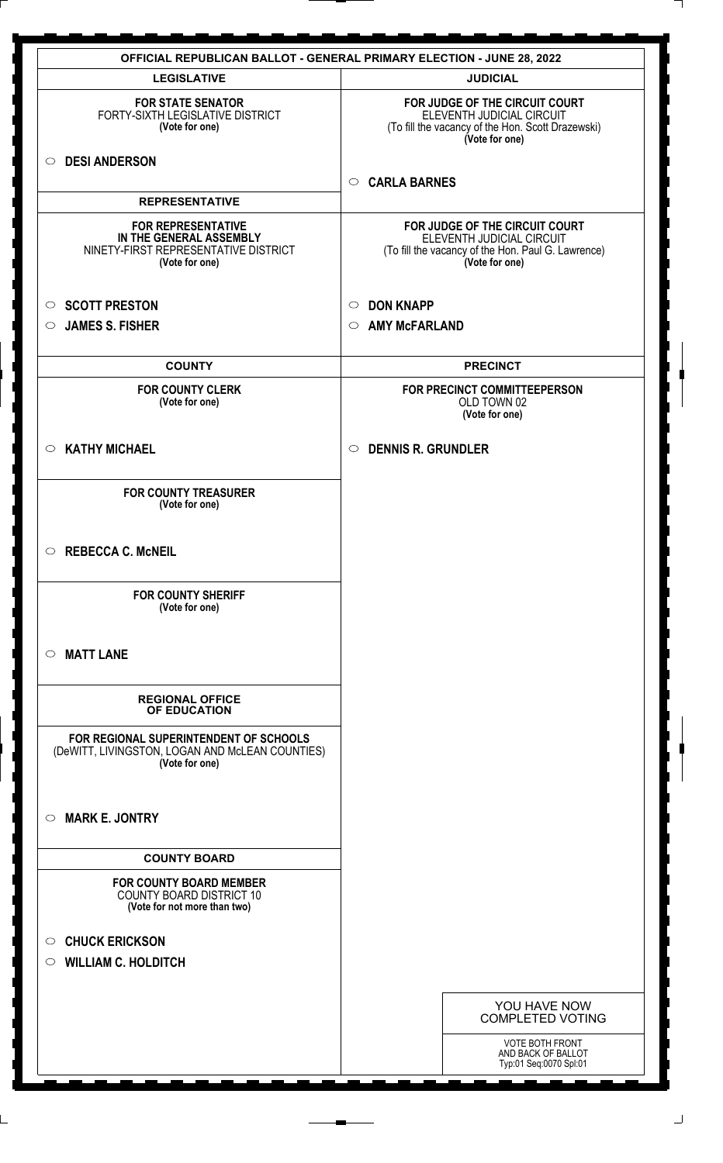| <b>OFFICIAL REPUBLICAN BALLOT - GENERAL PRIMARY ELECTION - JUNE 28, 2022</b>                                   |                                                                                                                                     |  |
|----------------------------------------------------------------------------------------------------------------|-------------------------------------------------------------------------------------------------------------------------------------|--|
| <b>LEGISLATIVE</b>                                                                                             | <b>JUDICIAL</b>                                                                                                                     |  |
| <b>FOR STATE SENATOR</b><br>FORTY-SIXTH LEGISLATIVE DISTRICT<br>(Vote for one)                                 | FOR JUDGE OF THE CIRCUIT COURT<br>ELEVENTH JUDICIAL CIRCUIT<br>(To fill the vacancy of the Hon. Scott Drazewski)<br>(Vote for one)  |  |
| <b>DESI ANDERSON</b><br>$\circ$                                                                                | <b>CARLA BARNES</b><br>$\circ$                                                                                                      |  |
| <b>REPRESENTATIVE</b>                                                                                          |                                                                                                                                     |  |
| <b>FOR REPRESENTATIVE</b><br>IN THE GENERAL ASSEMBLY<br>NINETY-FIRST REPRESENTATIVE DISTRICT<br>(Vote for one) | FOR JUDGE OF THE CIRCUIT COURT<br>ELEVENTH JUDICIAL CIRCUIT<br>(To fill the vacancy of the Hon. Paul G. Lawrence)<br>(Vote for one) |  |
| <b>SCOTT PRESTON</b><br>$\circ$                                                                                | <b>DON KNAPP</b><br>$\circ$                                                                                                         |  |
| <b>JAMES S. FISHER</b><br>$\circ$                                                                              | <b>AMY McFARLAND</b><br>$\circ$                                                                                                     |  |
|                                                                                                                |                                                                                                                                     |  |
| <b>COUNTY</b>                                                                                                  | <b>PRECINCT</b>                                                                                                                     |  |
| <b>FOR COUNTY CLERK</b><br>(Vote for one)                                                                      | FOR PRECINCT COMMITTEEPERSON<br>OLD TOWN 02<br>(Vote for one)                                                                       |  |
| <b>KATHY MICHAEL</b><br>$\circ$                                                                                | <b>DENNIS R. GRUNDLER</b><br>$\circ$                                                                                                |  |
| <b>FOR COUNTY TREASURER</b><br>(Vote for one)                                                                  |                                                                                                                                     |  |
| $\circ$<br><b>REBECCA C. McNEIL</b>                                                                            |                                                                                                                                     |  |
| <b>FOR COUNTY SHERIFF</b><br>(Vote for one)                                                                    |                                                                                                                                     |  |
| <b>MATT LANE</b><br>$\circ$                                                                                    |                                                                                                                                     |  |
| <b>REGIONAL OFFICE</b><br>OF EDUCATION                                                                         |                                                                                                                                     |  |
| FOR REGIONAL SUPERINTENDENT OF SCHOOLS<br>(DeWITT, LIVINGSTON, LOGAN AND McLEAN COUNTIES)<br>(Vote for one)    |                                                                                                                                     |  |
| <b>MARK E. JONTRY</b><br>$\circ$                                                                               |                                                                                                                                     |  |
| <b>COUNTY BOARD</b>                                                                                            |                                                                                                                                     |  |
| <b>FOR COUNTY BOARD MEMBER</b><br><b>COUNTY BOARD DISTRICT 10</b><br>(Vote for not more than two)              |                                                                                                                                     |  |
| <b>CHUCK ERICKSON</b><br>$\circ$                                                                               |                                                                                                                                     |  |
| <b>WILLIAM C. HOLDITCH</b><br>$\circ$                                                                          |                                                                                                                                     |  |
|                                                                                                                | YOU HAVE NOW<br><b>COMPLETED VOTING</b>                                                                                             |  |
|                                                                                                                | <b>VOTE BOTH FRONT</b><br>AND BACK OF BALLOT<br>Typ:01 Seq:0070 Spl:01                                                              |  |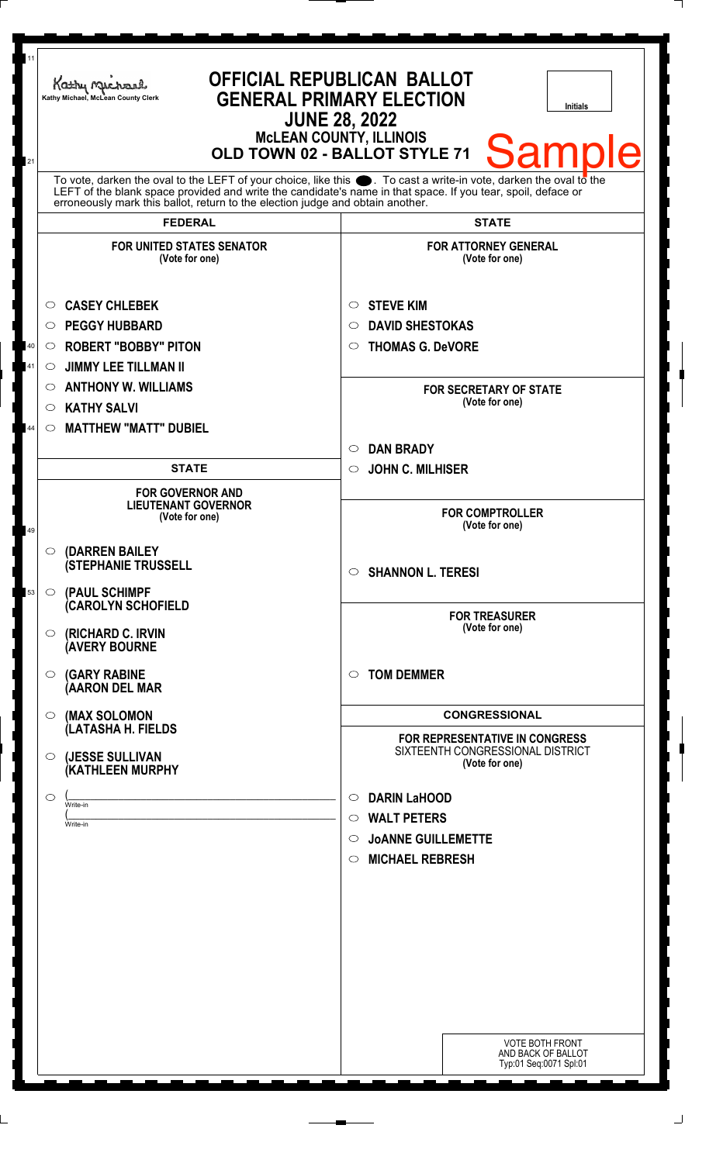| 11 | Kathy Michael<br>Kathy Michael, McLean County Clerk                                                                                                                                            | <b>OFFICIAL REPUBLICAN BALLOT</b><br><b>GENERAL PRIMARY ELECTION</b><br><b>Initials</b><br><b>JUNE 28, 2022</b><br><b>McLEAN COUNTY, ILLINOIS</b> |
|----|------------------------------------------------------------------------------------------------------------------------------------------------------------------------------------------------|---------------------------------------------------------------------------------------------------------------------------------------------------|
| 21 | To vote, darken the oval to the LEFT of your choice, like this $\bullet$ . To cast a write-in vote, darken the oval to the                                                                     | <b>Sampl</b><br>Ie<br>OLD TOWN 02 - BALLOT STYLE 71                                                                                               |
|    | LEFT of the blank space provided and write the candidate's name in that space. If you tear, spoil, deface or<br>erroneously mark this ballot, return to the election judge and obtain another. |                                                                                                                                                   |
|    | <b>FEDERAL</b>                                                                                                                                                                                 | <b>STATE</b>                                                                                                                                      |
|    | <b>FOR UNITED STATES SENATOR</b><br>(Vote for one)                                                                                                                                             | <b>FOR ATTORNEY GENERAL</b><br>(Vote for one)                                                                                                     |
| 40 | <b>CASEY CHLEBEK</b><br>O<br><b>PEGGY HUBBARD</b><br>O<br><b>ROBERT "BOBBY" PITON</b><br>$\circ$                                                                                               | <b>STEVE KIM</b><br>$\circ$<br><b>DAVID SHESTOKAS</b><br>O<br><b>THOMAS G. DeVORE</b><br>$\circ$                                                  |
| 41 | <b>JIMMY LEE TILLMAN II</b><br>O                                                                                                                                                               |                                                                                                                                                   |
|    | <b>ANTHONY W. WILLIAMS</b><br>$\circ$                                                                                                                                                          | <b>FOR SECRETARY OF STATE</b>                                                                                                                     |
|    | <b>KATHY SALVI</b><br>$\circlearrowright$                                                                                                                                                      | (Vote for one)                                                                                                                                    |
| 44 | <b>MATTHEW "MATT" DUBIEL</b><br>$\circlearrowright$                                                                                                                                            |                                                                                                                                                   |
|    |                                                                                                                                                                                                | <b>DAN BRADY</b><br>$\circ$                                                                                                                       |
|    | <b>STATE</b>                                                                                                                                                                                   | <b>JOHN C. MILHISER</b><br>$\circ$                                                                                                                |
| 49 | <b>FOR GOVERNOR AND</b><br><b>LIEUTENANT GOVERNOR</b><br>(Vote for one)                                                                                                                        | <b>FOR COMPTROLLER</b><br>(Vote for one)                                                                                                          |
| 53 | $\circ$ (DARREN BAILEY<br><b>(STEPHANIE TRUSSELL</b><br>$\circ$ (PAUL SCHIMPF                                                                                                                  | <b>SHANNON L. TERESI</b><br>$\circ$                                                                                                               |
|    | (CAROLYN SCHOFIELD<br>(RICHARD C. IRVIN<br>$\circ$<br><b>(AVERY BOURNE</b>                                                                                                                     | <b>FOR TREASURER</b><br>(Vote for one)                                                                                                            |
|    | <b>(GARY RABINE</b><br>$\circ$<br>(AARON DEL MAR                                                                                                                                               | <b>TOM DEMMER</b><br>$\circ$                                                                                                                      |
|    | (MAX SOLOMON<br>$\circ$                                                                                                                                                                        | <b>CONGRESSIONAL</b>                                                                                                                              |
|    | (LATASHA H. FIELDS                                                                                                                                                                             | FOR REPRESENTATIVE IN CONGRESS                                                                                                                    |
|    | (JESSE SULLIVAN<br>$\circ$<br>(KATHLEEN MURPHY                                                                                                                                                 | SIXTEENTH CONGRESSIONAL DISTRICT<br>(Vote for one)                                                                                                |
|    | $\circlearrowright$<br>Write-in                                                                                                                                                                | <b>DARIN LaHOOD</b><br>$\circ$                                                                                                                    |
|    | Write-in                                                                                                                                                                                       | <b>WALT PETERS</b><br>$\circ$                                                                                                                     |
|    |                                                                                                                                                                                                | <b>JOANNE GUILLEMETTE</b><br>$\circ$<br><b>MICHAEL REBRESH</b><br>$\circ$                                                                         |
|    |                                                                                                                                                                                                |                                                                                                                                                   |
|    |                                                                                                                                                                                                |                                                                                                                                                   |
|    |                                                                                                                                                                                                |                                                                                                                                                   |
|    |                                                                                                                                                                                                |                                                                                                                                                   |
|    |                                                                                                                                                                                                |                                                                                                                                                   |
|    |                                                                                                                                                                                                |                                                                                                                                                   |
|    |                                                                                                                                                                                                |                                                                                                                                                   |
|    |                                                                                                                                                                                                |                                                                                                                                                   |
|    |                                                                                                                                                                                                | <b>VOTE BOTH FRONT</b><br>AND BACK OF BALLOT<br>Typ:01 Seq:0071 Spl:01                                                                            |

 $\Box$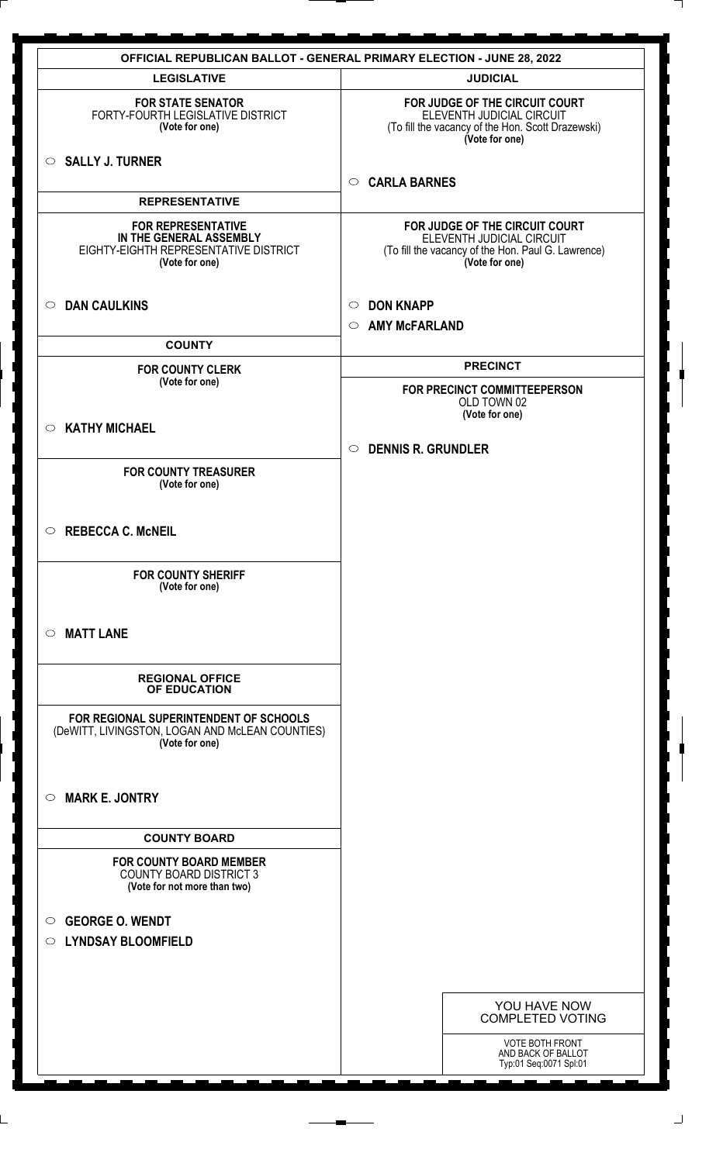|                                                                                                                 | <b>OFFICIAL REPUBLICAN BALLOT - GENERAL PRIMARY ELECTION - JUNE 28, 2022</b>                                                        |
|-----------------------------------------------------------------------------------------------------------------|-------------------------------------------------------------------------------------------------------------------------------------|
| <b>LEGISLATIVE</b>                                                                                              | <b>JUDICIAL</b>                                                                                                                     |
| <b>FOR STATE SENATOR</b><br>FORTY-FOURTH LEGISLATIVE DISTRICT<br>(Vote for one)                                 | FOR JUDGE OF THE CIRCUIT COURT<br>ELEVENTH JUDICIAL CIRCUIT<br>(To fill the vacancy of the Hon. Scott Drazewski)<br>(Vote for one)  |
| $\circ$ SALLY J. TURNER                                                                                         | <b>CARLA BARNES</b><br>$\circ$                                                                                                      |
| <b>REPRESENTATIVE</b>                                                                                           |                                                                                                                                     |
| <b>FOR REPRESENTATIVE</b><br>IN THE GENERAL ASSEMBLY<br>EIGHTY-EIGHTH REPRESENTATIVE DISTRICT<br>(Vote for one) | FOR JUDGE OF THE CIRCUIT COURT<br>ELEVENTH JUDICIAL CIRCUIT<br>(To fill the vacancy of the Hon. Paul G. Lawrence)<br>(Vote for one) |
| $\circ$ DAN CAULKINS                                                                                            | <b>DON KNAPP</b><br>$\circ$                                                                                                         |
|                                                                                                                 | <b>AMY McFARLAND</b><br>$\circ$                                                                                                     |
| <b>COUNTY</b>                                                                                                   |                                                                                                                                     |
| <b>FOR COUNTY CLERK</b><br>(Vote for one)                                                                       | <b>PRECINCT</b>                                                                                                                     |
|                                                                                                                 | FOR PRECINCT COMMITTEEPERSON<br>OLD TOWN 02<br>(Vote for one)                                                                       |
| $\circ$ KATHY MICHAEL                                                                                           |                                                                                                                                     |
|                                                                                                                 | <b>DENNIS R. GRUNDLER</b><br>$\circ$                                                                                                |
| <b>FOR COUNTY TREASURER</b><br>(Vote for one)                                                                   |                                                                                                                                     |
| <b>REBECCA C. McNEIL</b><br>$\circ$                                                                             |                                                                                                                                     |
| <b>FOR COUNTY SHERIFF</b><br>(Vote for one)                                                                     |                                                                                                                                     |
| <b>MATT LANE</b><br>$\circ$                                                                                     |                                                                                                                                     |
| <b>REGIONAL OFFICE</b><br>OF EDUCATION                                                                          |                                                                                                                                     |
| FOR REGIONAL SUPERINTENDENT OF SCHOOLS<br>(DeWITT, LIVINGSTON, LOGAN AND McLEAN COUNTIES)<br>(Vote for one)     |                                                                                                                                     |
| <b>MARK E. JONTRY</b><br>$\circ$                                                                                |                                                                                                                                     |
| <b>COUNTY BOARD</b>                                                                                             |                                                                                                                                     |
| <b>FOR COUNTY BOARD MEMBER</b><br><b>COUNTY BOARD DISTRICT 3</b><br>(Vote for not more than two)                |                                                                                                                                     |
| <b>GEORGE O. WENDT</b><br>$\circ$                                                                               |                                                                                                                                     |
| <b>LYNDSAY BLOOMFIELD</b><br>$\circ$                                                                            |                                                                                                                                     |
|                                                                                                                 |                                                                                                                                     |
|                                                                                                                 |                                                                                                                                     |
|                                                                                                                 | YOU HAVE NOW<br><b>COMPLETED VOTING</b>                                                                                             |
|                                                                                                                 | <b>VOTE BOTH FRONT</b><br>AND BACK OF BALLOT<br>Typ:01 Seq:0071 Spl:01                                                              |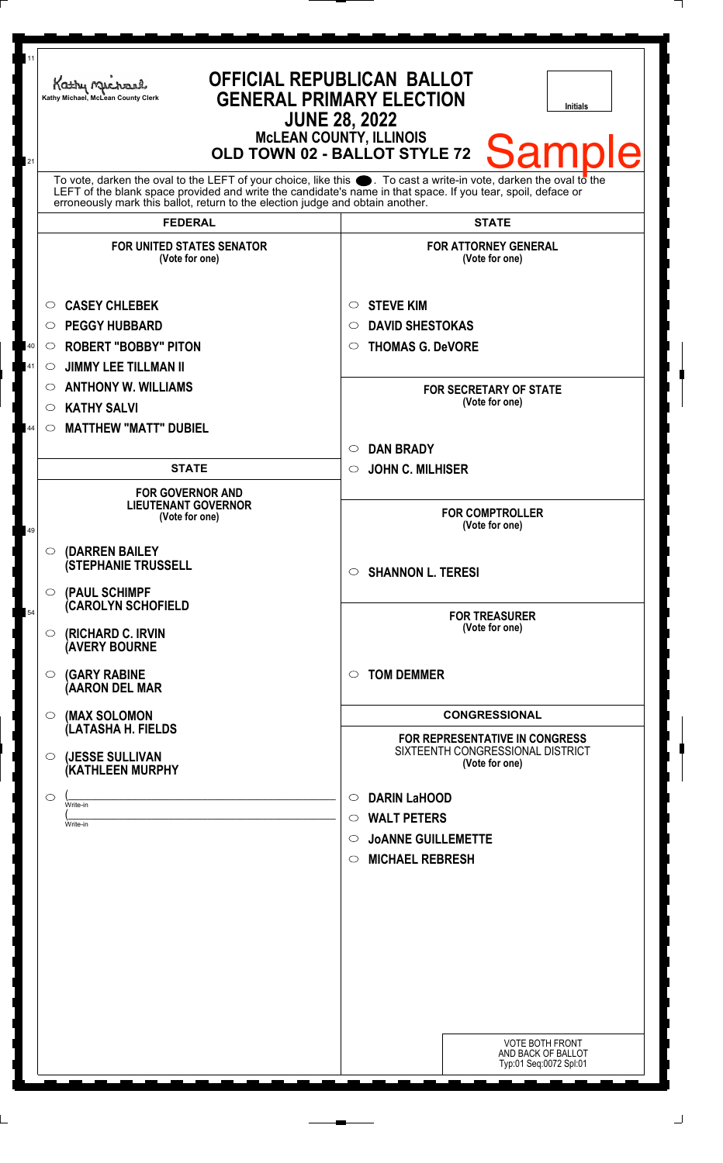| 11<br>21 | Kathy Michael<br>Kathy Michael, McLean County Clerk                                                                                                                                                                                                                                                                    | <b>OFFICIAL REPUBLICAN BALLOT</b><br><b>GENERAL PRIMARY ELECTION</b><br><b>Initials</b><br><b>JUNE 28, 2022</b><br><b>MCLEAN COUNTY, ILLINOIS</b><br><b>Sample</b><br>OLD TOWN 02 - BALLOT STYLE 72 |
|----------|------------------------------------------------------------------------------------------------------------------------------------------------------------------------------------------------------------------------------------------------------------------------------------------------------------------------|-----------------------------------------------------------------------------------------------------------------------------------------------------------------------------------------------------|
|          | To vote, darken the oval to the LEFT of your choice, like this $\bullet$ . To cast a write-in vote, darken the oval to the LEFT of the blank space provided and write the candidate's name in that space. If you tear, spoil, deface<br>erroneously mark this ballot, return to the election judge and obtain another. |                                                                                                                                                                                                     |
|          | <b>FEDERAL</b>                                                                                                                                                                                                                                                                                                         | <b>STATE</b>                                                                                                                                                                                        |
|          | <b>FOR UNITED STATES SENATOR</b><br>(Vote for one)                                                                                                                                                                                                                                                                     | <b>FOR ATTORNEY GENERAL</b><br>(Vote for one)                                                                                                                                                       |
| 40<br>41 | <b>CASEY CHLEBEK</b><br>$\circ$<br><b>PEGGY HUBBARD</b><br>$\circ$<br><b>ROBERT "BOBBY" PITON</b><br>$\bigcirc$<br><b>JIMMY LEE TILLMAN II</b><br>$\circ$<br><b>ANTHONY W. WILLIAMS</b><br>O                                                                                                                           | <b>STEVE KIM</b><br>$\circ$<br><b>DAVID SHESTOKAS</b><br>$\bigcirc$<br><b>THOMAS G. DeVORE</b><br>$\circ$                                                                                           |
| 44       | <b>KATHY SALVI</b><br>$\circ$<br><b>MATTHEW "MATT" DUBIEL</b><br>$\circ$                                                                                                                                                                                                                                               | <b>FOR SECRETARY OF STATE</b><br>(Vote for one)                                                                                                                                                     |
|          |                                                                                                                                                                                                                                                                                                                        | <b>DAN BRADY</b><br>$\bigcirc$                                                                                                                                                                      |
|          | <b>STATE</b>                                                                                                                                                                                                                                                                                                           | <b>JOHN C. MILHISER</b><br>$\circ$                                                                                                                                                                  |
|          | <b>FOR GOVERNOR AND</b><br><b>LIEUTENANT GOVERNOR</b><br>(Vote for one)                                                                                                                                                                                                                                                | <b>FOR COMPTROLLER</b><br>(Vote for one)                                                                                                                                                            |
|          | O (DARREN BAILEY<br><b>(STEPHANIE TRUSSELL</b><br>(PAUL SCHIMPF<br>$\circ$                                                                                                                                                                                                                                             | <b>SHANNON L. TERESI</b><br>$\circ$                                                                                                                                                                 |
| 54       | (CAROLYN SCHOFIELD<br>(RICHARD C. IRVIN<br>$\circ$<br><b>AVERY BOURNE</b>                                                                                                                                                                                                                                              | <b>FOR TREASURER</b><br>(Vote for one)                                                                                                                                                              |
|          | <b>(GARY RABINE</b><br>$\circ$<br>(AARON DEL MAR                                                                                                                                                                                                                                                                       | <b>TOM DEMMER</b><br>$\bigcirc$                                                                                                                                                                     |
|          | (MAX SOLOMON<br>O                                                                                                                                                                                                                                                                                                      | <b>CONGRESSIONAL</b>                                                                                                                                                                                |
|          | (LATASHA H. FIELDS<br>(JESSE SULLIVAN<br>$\circ$<br>(KATHLEEN MURPHY                                                                                                                                                                                                                                                   | <b>FOR REPRESENTATIVE IN CONGRESS</b><br>SIXTEENTH CONGRESSIONAL DISTRICT<br>(Vote for one)                                                                                                         |
|          | $\circ$<br>Write-in                                                                                                                                                                                                                                                                                                    | <b>DARIN LaHOOD</b><br>$\circ$                                                                                                                                                                      |
|          | Write-in                                                                                                                                                                                                                                                                                                               | <b>WALT PETERS</b><br>$\circ$                                                                                                                                                                       |
|          |                                                                                                                                                                                                                                                                                                                        | <b>JOANNE GUILLEMETTE</b><br>$\circ$                                                                                                                                                                |
|          |                                                                                                                                                                                                                                                                                                                        | <b>MICHAEL REBRESH</b><br>$\circ$                                                                                                                                                                   |
|          |                                                                                                                                                                                                                                                                                                                        |                                                                                                                                                                                                     |
|          |                                                                                                                                                                                                                                                                                                                        |                                                                                                                                                                                                     |
|          |                                                                                                                                                                                                                                                                                                                        |                                                                                                                                                                                                     |
|          |                                                                                                                                                                                                                                                                                                                        |                                                                                                                                                                                                     |
|          |                                                                                                                                                                                                                                                                                                                        |                                                                                                                                                                                                     |
|          |                                                                                                                                                                                                                                                                                                                        |                                                                                                                                                                                                     |
|          |                                                                                                                                                                                                                                                                                                                        |                                                                                                                                                                                                     |
|          |                                                                                                                                                                                                                                                                                                                        | <b>VOTE BOTH FRONT</b><br>AND BACK OF BALLOT<br>Typ:01 Seq:0072 Spl:01                                                                                                                              |